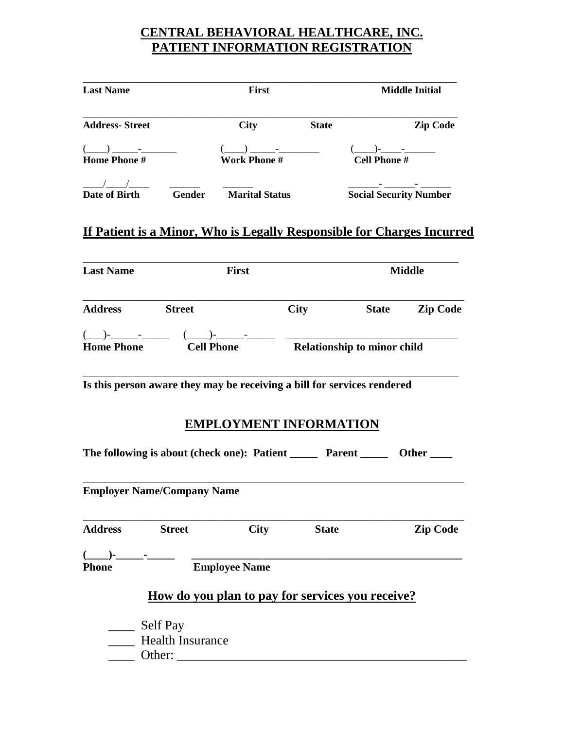## **CENTRAL BEHAVIORAL HEALTHCARE, INC. PATIENT INFORMATION REGISTRATION**

| <b>Last Name</b>                                                                                                                             |               | First                        |                               | <b>Middle Initial</b>         |  |
|----------------------------------------------------------------------------------------------------------------------------------------------|---------------|------------------------------|-------------------------------|-------------------------------|--|
| <b>Address-Street</b>                                                                                                                        |               | <b>City</b>                  | <b>State</b>                  | <b>Zip Code</b>               |  |
|                                                                                                                                              |               |                              |                               |                               |  |
| $\frac{(-)}{\text{Home}}$ Phone $\frac{1}{\#}$ $\frac{(-)}{\text{Work Phone}}$ $\frac{1}{\#}$ $\frac{(-)}{\text{Cell Phone}}$ $\frac{1}{\#}$ |               |                              |                               |                               |  |
| $\frac{1}{\sqrt{2\pi}}$                                                                                                                      |               |                              |                               |                               |  |
| Date of Birth                                                                                                                                |               | <b>Gender Marital Status</b> |                               | <b>Social Security Number</b> |  |
| <b>Last Name</b>                                                                                                                             |               | First                        |                               | <b>Middle</b>                 |  |
| Address Street                                                                                                                               |               |                              | <b>City</b>                   | State Zip Code                |  |
|                                                                                                                                              |               |                              |                               |                               |  |
| Home Phone Cell Phone Relationship to minor child                                                                                            |               |                              |                               |                               |  |
| Is this person aware they may be receiving a bill for services rendered                                                                      |               |                              |                               |                               |  |
|                                                                                                                                              |               |                              |                               |                               |  |
|                                                                                                                                              |               |                              | <b>EMPLOYMENT INFORMATION</b> |                               |  |
| The following is about (check one): Patient ________ Parent _________ Other _____                                                            |               |                              |                               |                               |  |
| <b>Employer Name/Company Name</b>                                                                                                            |               |                              |                               |                               |  |
| <b>Address</b>                                                                                                                               | <b>Street</b> | <b>City</b>                  | <b>State</b>                  | <b>Zip Code</b>               |  |
| $($ )-                                                                                                                                       |               |                              |                               |                               |  |
| <b>Phone</b>                                                                                                                                 |               | <b>Employee Name</b>         |                               |                               |  |

# **How do you plan to pay for services you receive?**

\_\_\_\_\_ Self Pay **Health Insurance** 

\_\_\_\_ Other: \_\_\_\_\_\_\_\_\_\_\_\_\_\_\_\_\_\_\_\_\_\_\_\_\_\_\_\_\_\_\_\_\_\_\_\_\_\_\_\_\_\_\_\_\_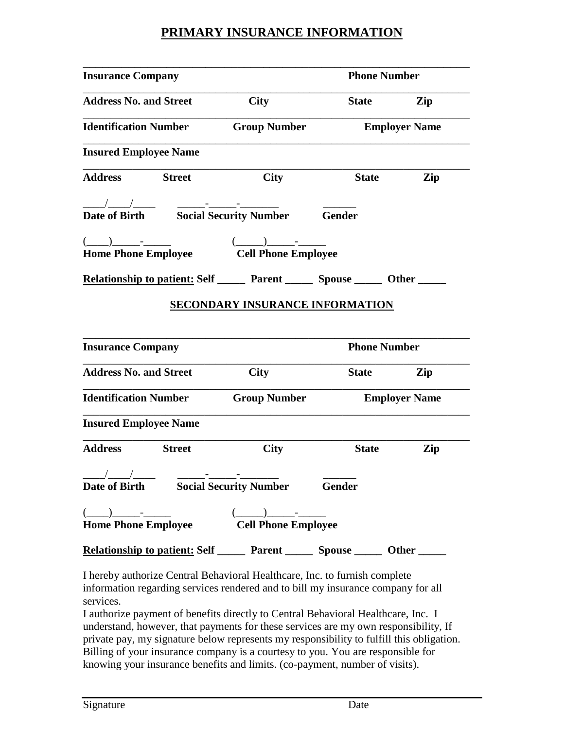#### **PRIMARY INSURANCE INFORMATION**

| <b>Insurance Company</b>                                                                                                                                                                                                                                                                                                                                                                                                                                                                                                             | <b>Phone Number</b>                    |                      |                      |
|--------------------------------------------------------------------------------------------------------------------------------------------------------------------------------------------------------------------------------------------------------------------------------------------------------------------------------------------------------------------------------------------------------------------------------------------------------------------------------------------------------------------------------------|----------------------------------------|----------------------|----------------------|
| <b>Address No. and Street</b>                                                                                                                                                                                                                                                                                                                                                                                                                                                                                                        | <b>City</b>                            | <b>State</b>         | Zip                  |
| <b>Identification Number</b>                                                                                                                                                                                                                                                                                                                                                                                                                                                                                                         | <b>Group Number</b>                    | <b>Employer Name</b> |                      |
| <b>Insured Employee Name</b>                                                                                                                                                                                                                                                                                                                                                                                                                                                                                                         |                                        |                      |                      |
| <b>Address</b><br><b>Street</b>                                                                                                                                                                                                                                                                                                                                                                                                                                                                                                      | <b>City</b>                            | <b>State</b>         | Zip                  |
|                                                                                                                                                                                                                                                                                                                                                                                                                                                                                                                                      |                                        |                      |                      |
| Date of Birth Social Security Number                                                                                                                                                                                                                                                                                                                                                                                                                                                                                                 |                                        | <b>Gender</b>        |                      |
|                                                                                                                                                                                                                                                                                                                                                                                                                                                                                                                                      | $(\_\_)$ - $\_\_$                      |                      |                      |
| Home Phone Employee Cell Phone Employee                                                                                                                                                                                                                                                                                                                                                                                                                                                                                              |                                        |                      |                      |
| <u>Relationship to patient:</u> Self ________ Parent ________ Spouse _______ Other ____                                                                                                                                                                                                                                                                                                                                                                                                                                              |                                        |                      |                      |
|                                                                                                                                                                                                                                                                                                                                                                                                                                                                                                                                      | <b>SECONDARY INSURANCE INFORMATION</b> |                      |                      |
|                                                                                                                                                                                                                                                                                                                                                                                                                                                                                                                                      |                                        | <b>Phone Number</b>  |                      |
|                                                                                                                                                                                                                                                                                                                                                                                                                                                                                                                                      | <b>City</b>                            | <b>State</b>         | Zip                  |
|                                                                                                                                                                                                                                                                                                                                                                                                                                                                                                                                      | <b>Group Number</b>                    |                      |                      |
| <b>Insurance Company</b><br><b>Address No. and Street</b><br><b>Identification Number</b><br><b>Insured Employee Name</b>                                                                                                                                                                                                                                                                                                                                                                                                            |                                        |                      | <b>Employer Name</b> |
| <b>Address</b><br><b>Street</b>                                                                                                                                                                                                                                                                                                                                                                                                                                                                                                      | <b>City</b>                            | <b>State</b>         | Zip                  |
|                                                                                                                                                                                                                                                                                                                                                                                                                                                                                                                                      |                                        |                      |                      |
|                                                                                                                                                                                                                                                                                                                                                                                                                                                                                                                                      |                                        |                      |                      |
| $\frac{1}{\text{Date of Birth}}$ That is of Birth Social Security Number Gender                                                                                                                                                                                                                                                                                                                                                                                                                                                      |                                        |                      |                      |
| $\overbrace{(\hspace{2mm}\underline{\hspace{2mm}}\hspace{2mm}\underline{\hspace{2mm}}\hspace{2mm})\hspace{2mm}}^{\text{-}}\hspace{2mm}\underline{\hspace{2mm}}\hspace{2mm}\underline{\hspace{2mm}}\hspace{2mm}}\hspace{2mm}\underline{\hspace{2mm}}\hspace{2mm}\underline{\hspace{2mm}}\hspace{2mm}\underline{\hspace{2mm}}\hspace{2mm}}\hspace{2mm}\underline{\hspace{2mm}}\hspace{2mm}\underline{\hspace{2mm}}\hspace{2mm}\underline{\hspace{2mm}}\hspace{2mm}}\hspace{2mm}\underline{\hspace{2mm}}\hspace{2mm}\underline{\hspace$ |                                        |                      |                      |

I hereby authorize Central Behavioral Healthcare, Inc. to furnish complete information regarding services rendered and to bill my insurance company for all services.

I authorize payment of benefits directly to Central Behavioral Healthcare, Inc. I understand, however, that payments for these services are my own responsibility, If private pay, my signature below represents my responsibility to fulfill this obligation. Billing of your insurance company is a courtesy to you. You are responsible for knowing your insurance benefits and limits. (co-payment, number of visits).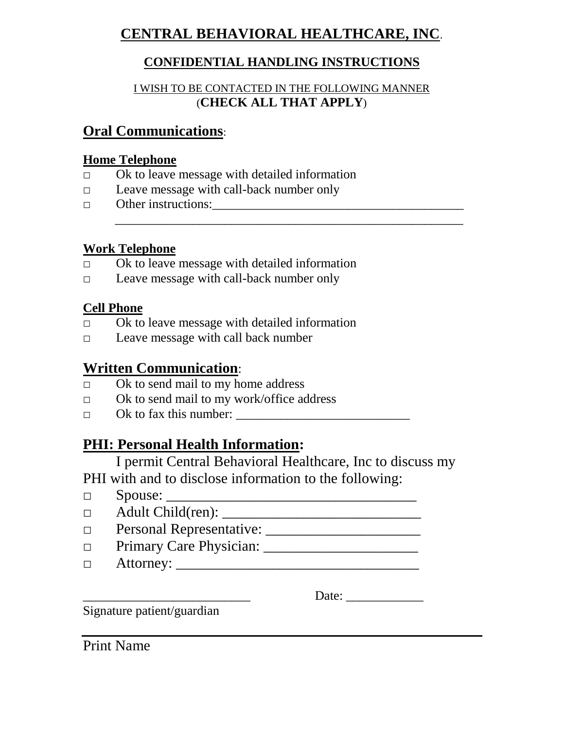# **CENTRAL BEHAVIORAL HEALTHCARE, INC**.

## **CONFIDENTIAL HANDLING INSTRUCTIONS**

#### I WISH TO BE CONTACTED IN THE FOLLOWING MANNER (**CHECK ALL THAT APPLY**)

 $\frac{1}{2}$  , and the contract of the contract of the contract of the contract of the contract of the contract of the contract of the contract of the contract of the contract of the contract of the contract of the contract

## **Oral Communications**:

### **Home Telephone**

- $\Box$  Ok to leave message with detailed information
- □ Leave message with call-back number only
- $\Box$  Other instructions:

## **Work Telephone**

- $\Box$  Ok to leave message with detailed information
- □ Leave message with call-back number only

## **Cell Phone**

- □ Ok to leave message with detailed information
- □ Leave message with call back number

# **Written Communication**:

- $\Box$  Ok to send mail to my home address
- □ Ok to send mail to my work/office address
- $\Box$  Ok to fax this number:  $\Box$

# **PHI: Personal Health Information:**

I permit Central Behavioral Healthcare, Inc to discuss my PHI with and to disclose information to the following:

- $\Box$  Spouse:
- □ Adult Child(ren): \_\_\_\_\_\_\_\_\_\_\_\_\_\_\_\_\_\_\_\_\_\_\_\_\_\_\_
- □ Personal Representative: \_\_\_\_\_\_\_\_\_\_\_\_\_\_\_\_\_\_\_\_\_
- □ Primary Care Physician: \_\_\_\_\_\_\_\_\_\_\_\_\_\_\_\_\_\_\_\_\_
- □ Attorney: \_\_\_\_\_\_\_\_\_\_\_\_\_\_\_\_\_\_\_\_\_\_\_\_\_\_\_\_\_\_\_\_\_

Date:

Signature patient/guardian

Print Name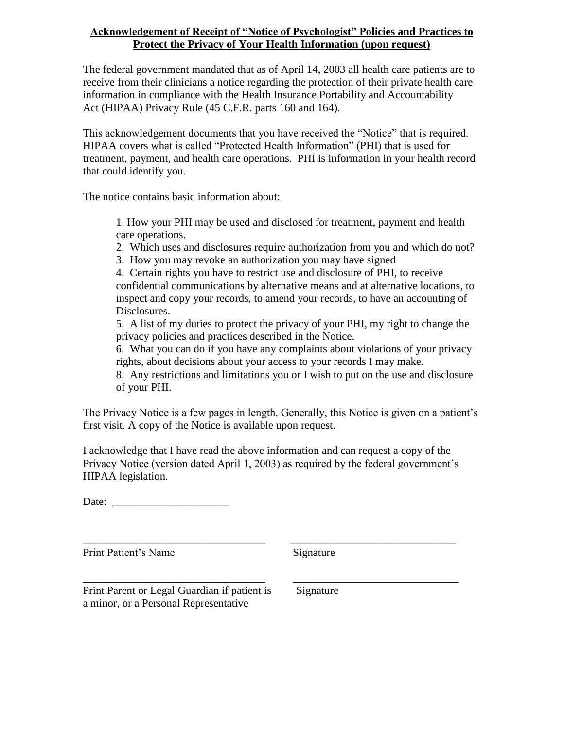#### **Acknowledgement of Receipt of "Notice of Psychologist" Policies and Practices to Protect the Privacy of Your Health Information (upon request)**

The federal government mandated that as of April 14, 2003 all health care patients are to receive from their clinicians a notice regarding the protection of their private health care information in compliance with the Health Insurance Portability and Accountability Act (HIPAA) Privacy Rule (45 C.F.R. parts 160 and 164).

This acknowledgement documents that you have received the "Notice" that is required. HIPAA covers what is called "Protected Health Information" (PHI) that is used for treatment, payment, and health care operations. PHI is information in your health record that could identify you.

The notice contains basic information about:

1. How your PHI may be used and disclosed for treatment, payment and health care operations.

- 2. Which uses and disclosures require authorization from you and which do not?
- 3. How you may revoke an authorization you may have signed

4. Certain rights you have to restrict use and disclosure of PHI, to receive confidential communications by alternative means and at alternative locations, to inspect and copy your records, to amend your records, to have an accounting of Disclosures.

5. A list of my duties to protect the privacy of your PHI, my right to change the privacy policies and practices described in the Notice.

6. What you can do if you have any complaints about violations of your privacy rights, about decisions about your access to your records I may make.

8. Any restrictions and limitations you or I wish to put on the use and disclosure of your PHI.

The Privacy Notice is a few pages in length. Generally, this Notice is given on a patient's first visit. A copy of the Notice is available upon request.

I acknowledge that I have read the above information and can request a copy of the Privacy Notice (version dated April 1, 2003) as required by the federal government's HIPAA legislation.

Date:  $\Box$ 

\_\_\_\_\_\_\_\_\_\_\_\_\_\_\_\_\_\_\_\_\_\_\_\_\_\_\_\_\_\_\_\_\_ \_\_\_\_\_\_\_\_\_\_\_\_\_\_\_\_\_\_\_\_\_\_\_\_\_\_\_\_\_\_ Print Patient's Name Signature

\_\_\_\_\_\_\_\_\_\_\_\_\_\_\_\_\_\_\_\_\_\_\_\_\_\_\_\_\_\_\_\_\_ \_\_\_\_\_\_\_\_\_\_\_\_\_\_\_\_\_\_\_\_\_\_\_\_\_\_\_\_\_\_ Print Parent or Legal Guardian if patient is Signature a minor, or a Personal Representative